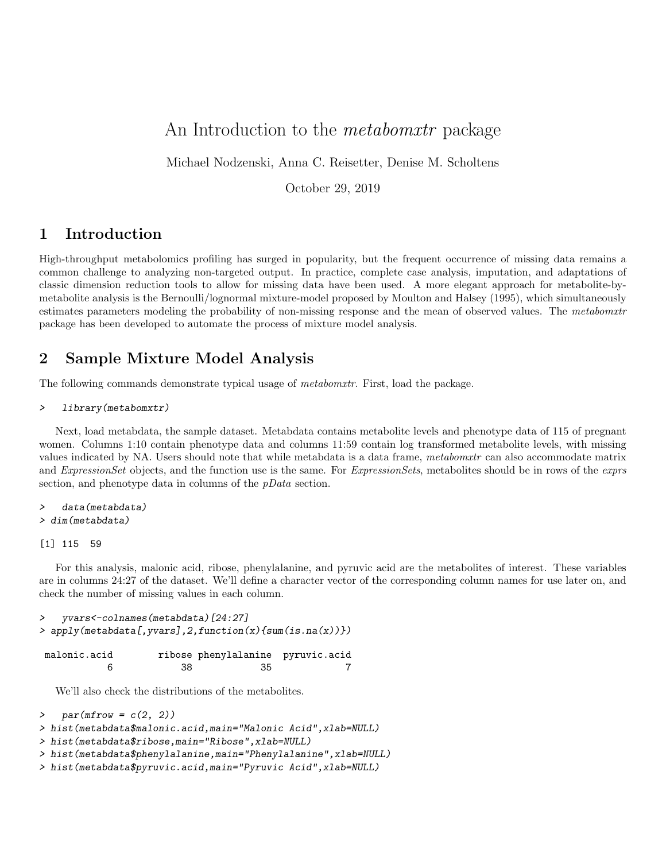# An Introduction to the *metabomxtr* package

Michael Nodzenski, Anna C. Reisetter, Denise M. Scholtens

October 29, 2019

### 1 Introduction

High-throughput metabolomics profiling has surged in popularity, but the frequent occurrence of missing data remains a common challenge to analyzing non-targeted output. In practice, complete case analysis, imputation, and adaptations of classic dimension reduction tools to allow for missing data have been used. A more elegant approach for metabolite-bymetabolite analysis is the Bernoulli/lognormal mixture-model proposed by Moulton and Halsey (1995), which simultaneously estimates parameters modeling the probability of non-missing response and the mean of observed values. The metabomxtr package has been developed to automate the process of mixture model analysis.

### 2 Sample Mixture Model Analysis

The following commands demonstrate typical usage of *metabomxtr*. First, load the package.

#### > library(metabomxtr)

Next, load metabdata, the sample dataset. Metabdata contains metabolite levels and phenotype data of 115 of pregnant women. Columns 1:10 contain phenotype data and columns 11:59 contain log transformed metabolite levels, with missing values indicated by NA. Users should note that while metabdata is a data frame, metabomxtr can also accommodate matrix and *ExpressionSet* objects, and the function use is the same. For *ExpressionSets*, metabolites should be in rows of the *exprs* section, and phenotype data in columns of the  $pData$  section.

#### > data(metabdata) > dim(metabdata)

#### [1] 115 59

For this analysis, malonic acid, ribose, phenylalanine, and pyruvic acid are the metabolites of interest. These variables are in columns 24:27 of the dataset. We'll define a character vector of the corresponding column names for use later on, and check the number of missing values in each column.

```
> yvars<-colnames(metabdata)[24:27]
> apply(metabdata[,yvars],2,function(x){sum(is.na(x))})
```

| malonic.acid |     | ribose phenylalanine pyruvic.acid |  |
|--------------|-----|-----------------------------------|--|
|              | 38. | -35                               |  |

We'll also check the distributions of the metabolites.

```
\geq par(mfrow = c(2, 2))
```

```
> hist(metabdata$malonic.acid,main="Malonic Acid",xlab=NULL)
```

```
> hist(metabdata$ribose,main="Ribose",xlab=NULL)
```

```
> hist(metabdata$phenylalanine,main="Phenylalanine",xlab=NULL)
```

```
> hist(metabdata$pyruvic.acid,main="Pyruvic Acid",xlab=NULL)
```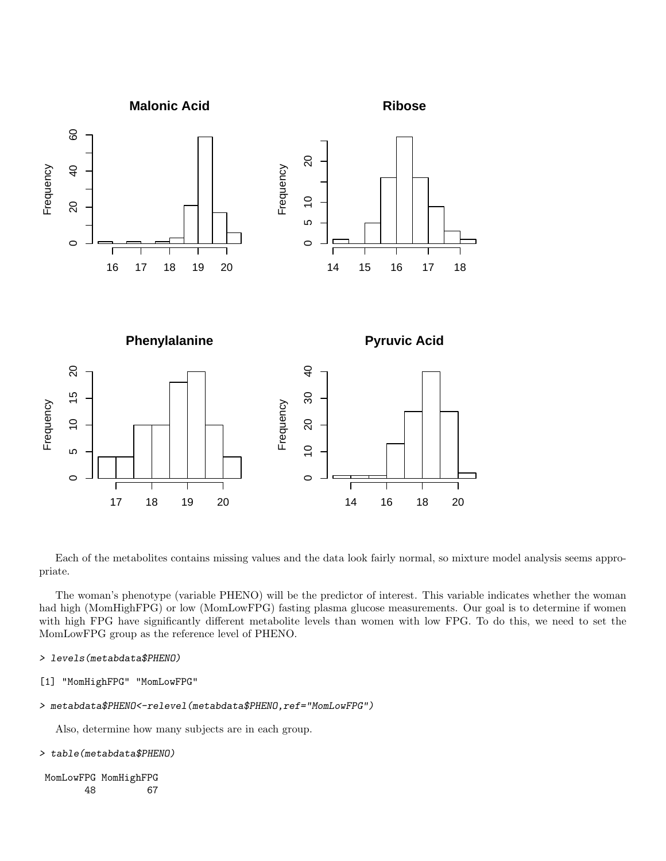

Each of the metabolites contains missing values and the data look fairly normal, so mixture model analysis seems appropriate.

The woman's phenotype (variable PHENO) will be the predictor of interest. This variable indicates whether the woman had high (MomHighFPG) or low (MomLowFPG) fasting plasma glucose measurements. Our goal is to determine if women with high FPG have significantly different metabolite levels than women with low FPG. To do this, we need to set the MomLowFPG group as the reference level of PHENO.

```
> levels(metabdata$PHENO)
```

```
[1] "MomHighFPG" "MomLowFPG"
```

```
> metabdata$PHENO<-relevel(metabdata$PHENO,ref="MomLowFPG")
```
Also, determine how many subjects are in each group.

```
> table(metabdata$PHENO)
```

```
MomLowFPG MomHighFPG
     48 67
```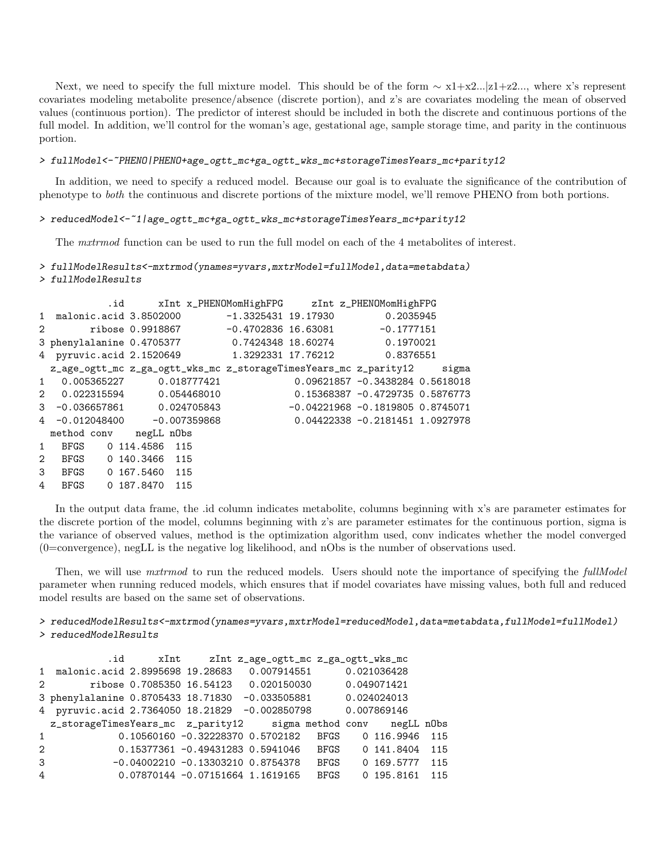Next, we need to specify the full mixture model. This should be of the form  $\sim x1+x2...|z1+z2...$ , where x's represent covariates modeling metabolite presence/absence (discrete portion), and z's are covariates modeling the mean of observed values (continuous portion). The predictor of interest should be included in both the discrete and continuous portions of the full model. In addition, we'll control for the woman's age, gestational age, sample storage time, and parity in the continuous portion.

#### > fullModel<-~PHENO|PHENO+age\_ogtt\_mc+ga\_ogtt\_wks\_mc+storageTimesYears\_mc+parity12

In addition, we need to specify a reduced model. Because our goal is to evaluate the significance of the contribution of phenotype to both the continuous and discrete portions of the mixture model, we'll remove PHENO from both portions.

#### > reducedModel<-~1|age\_ogtt\_mc+ga\_ogtt\_wks\_mc+storageTimesYears\_mc+parity12

The mxtrmod function can be used to run the full model on each of the 4 metabolites of interest.

## > fullModelResults<-mxtrmod(ynames=yvars,mxtrModel=fullModel,data=metabdata)

> fullModelResults

|             |                        | .id                                                                    | xInt x_PHENOMomHighFPG zInt z_PHENOMomHighFPG |                                     |  |
|-------------|------------------------|------------------------------------------------------------------------|-----------------------------------------------|-------------------------------------|--|
|             |                        | 1 malonic.acid 3.8502000 $-1.3325431$ 19.17930 0.2035945               |                                               |                                     |  |
| 2           |                        | ribose $0.9918867$ -0.4702836 16.63081 -0.1777151                      |                                               |                                     |  |
|             |                        | 3 phenylalanine 0.4705377 0.7424348 18.60274 0.1970021                 |                                               |                                     |  |
|             |                        | 4 pyruvic.acid 2.1520649 1.3292331 17.76212 0.8376551                  |                                               |                                     |  |
|             |                        | z_age_ogtt_mc z_ga_ogtt_wks_mc z_storageTimesYears_mc z_parity12 sigma |                                               |                                     |  |
| 1           |                        | $0.005365227$ 0.018777421                                              |                                               | 0.09621857 -0.3438284 0.5618018     |  |
|             |                        | 2 0.022315594 0.054468010                                              |                                               | 0.15368387 -0.4729735 0.5876773     |  |
| 3           |                        |                                                                        |                                               | $-0.04221968 - 0.1819805 0.8745071$ |  |
|             |                        | 4 -0.012048400 -0.007359868                                            |                                               | 0.04422338 -0.2181451 1.0927978     |  |
|             | method conv negLL nObs |                                                                        |                                               |                                     |  |
| 1           | BFGS                   | 0 114.4586 115                                                         |                                               |                                     |  |
| $2^{\circ}$ |                        | BFGS 0 140.3466 115                                                    |                                               |                                     |  |
| 3           |                        | BFGS 0 167.5460 115                                                    |                                               |                                     |  |
| 4           | <b>BFGS</b>            | 0 187.8470 115                                                         |                                               |                                     |  |

In the output data frame, the .id column indicates metabolite, columns beginning with x's are parameter estimates for the discrete portion of the model, columns beginning with z's are parameter estimates for the continuous portion, sigma is the variance of observed values, method is the optimization algorithm used, conv indicates whether the model converged  $(0=$ convergence), negLL is the negative log likelihood, and nObs is the number of observations used.

Then, we will use matrmod to run the reduced models. Users should note the importance of specifying the fullModel parameter when running reduced models, which ensures that if model covariates have missing values, both full and reduced model results are based on the same set of observations.

#### > reducedModelResults<-mxtrmod(ynames=yvars,mxtrModel=reducedModel,data=metabdata,fullModel=fullModel) > reducedModelResults

```
.id xInt zInt z_age_ogtt_mc z_ga_ogtt_wks_mc
1 malonic.acid 2.8995698 19.28683 0.007914551 0.021036428
2 ribose 0.7085350 16.54123 0.020150030 0.049071421
3 phenylalanine 0.8705433 18.71830 -0.033505881 0.024024013
4 pyruvic.acid 2.7364050 18.21829 -0.002850798 0.007869146
 z_storageTimesYears_mc z_parity12 sigma method conv negLL nObs
1 0.10560160 -0.32228370 0.5702182 BFGS 0 116.9946 115
2 0.15377361 -0.49431283 0.5941046 BFGS 0 141.8404 115
3 -0.04002210 -0.13303210 0.8754378 BFGS 0 169.5777 115
4 0.07870144 -0.07151664 1.1619165 BFGS 0 195.8161 115
```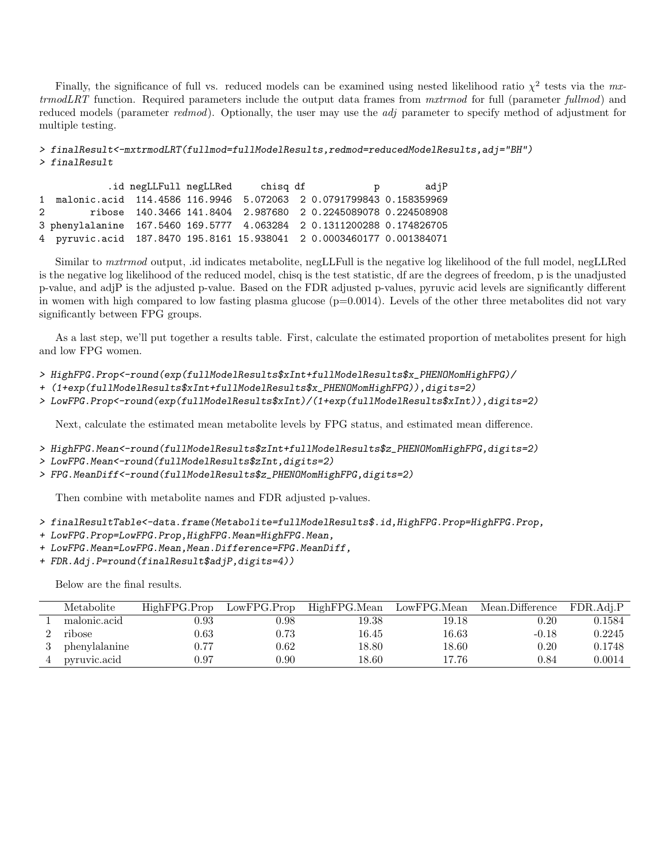Finally, the significance of full vs. reduced models can be examined using nested likelihood ratio  $\chi^2$  tests via the mxtrmodLRT function. Required parameters include the output data frames from mxtrmod for full (parameter fullmod) and reduced models (parameter redmod). Optionally, the user may use the *adj* parameter to specify method of adjustment for multiple testing.

> finalResult<-mxtrmodLRT(fullmod=fullModelResults,redmod=reducedModelResults,adj="BH") > finalResult

.id negLLFull negLLRed chisq df p adjP 1 malonic.acid 114.4586 116.9946 5.072063 2 0.0791799843 0.158359969 2 ribose 140.3466 141.8404 2.987680 2 0.2245089078 0.224508908 3 phenylalanine 167.5460 169.5777 4.063284 2 0.1311200288 0.174826705 4 pyruvic.acid 187.8470 195.8161 15.938041 2 0.0003460177 0.001384071

Similar to mxtrmod output, .id indicates metabolite, negLLFull is the negative log likelihood of the full model, negLLRed is the negative log likelihood of the reduced model, chisq is the test statistic, df are the degrees of freedom, p is the unadjusted p-value, and adjP is the adjusted p-value. Based on the FDR adjusted p-values, pyruvic acid levels are significantly different in women with high compared to low fasting plasma glucose  $(p=0.0014)$ . Levels of the other three metabolites did not vary significantly between FPG groups.

As a last step, we'll put together a results table. First, calculate the estimated proportion of metabolites present for high and low FPG women.

- > HighFPG.Prop<-round(exp(fullModelResults\$xInt+fullModelResults\$x\_PHENOMomHighFPG)/
- + (1+exp(fullModelResults\$xInt+fullModelResults\$x\_PHENOMomHighFPG)),digits=2)
- > LowFPG.Prop<-round(exp(fullModelResults\$xInt)/(1+exp(fullModelResults\$xInt)),digits=2)

Next, calculate the estimated mean metabolite levels by FPG status, and estimated mean difference.

- > HighFPG.Mean<-round(fullModelResults\$zInt+fullModelResults\$z\_PHENOMomHighFPG,digits=2)
- > LowFPG.Mean<-round(fullModelResults\$zInt,digits=2)
- > FPG.MeanDiff<-round(fullModelResults\$z\_PHENOMomHighFPG,digits=2)

Then combine with metabolite names and FDR adjusted p-values.

> finalResultTable<-data.frame(Metabolite=fullModelResults\$.id,HighFPG.Prop=HighFPG.Prop,

- + LowFPG.Prop=LowFPG.Prop,HighFPG.Mean=HighFPG.Mean,
- + LowFPG.Mean=LowFPG.Mean,Mean.Difference=FPG.MeanDiff,
- + FDR.Adj.P=round(finalResult\$adjP,digits=4))

Below are the final results.

| Metabolite    | $Hi$ gh $FPG.P$ rop | LowFPG.Prop | HighFPG.Mean |       | LowFPG.Mean Mean.Difference | FDR.Adi.P  |
|---------------|---------------------|-------------|--------------|-------|-----------------------------|------------|
| malonic.acid  | $\rm 0.93$          | 0.98        | 19.38        | 19.18 | 0.20                        | 0.1584     |
| ribose        | $0.63\,$            | 0.73        | 16.45        | 16.63 | $-0.18$                     | 0.2245     |
| phenylalanine | 0.77                | 0.62        | 18.80        | 18.60 | 0.20                        | 0.1748     |
| pyruvic.acid  | 0.97                | $0.90\,$    | 18.60        | 17.76 | 0.84                        | $0.0014\,$ |